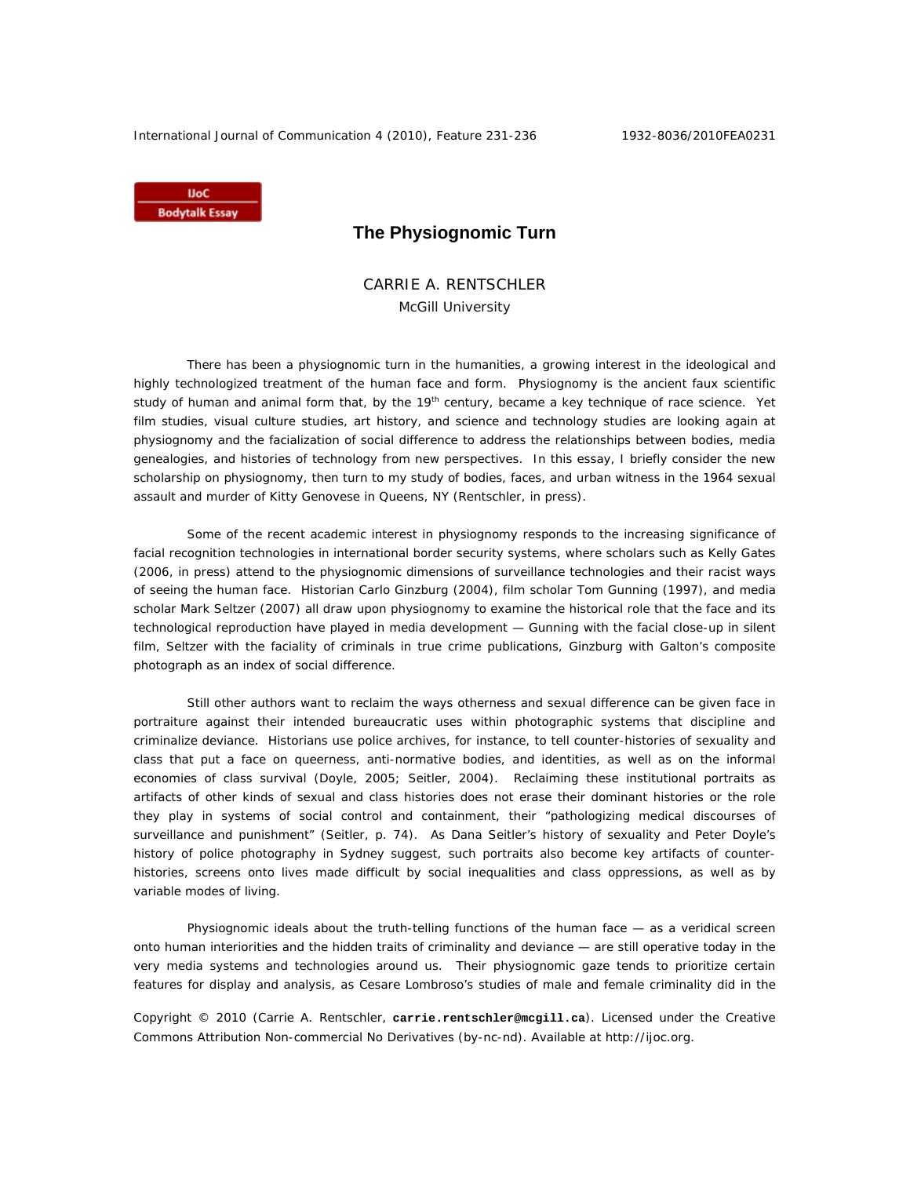International Journal of Communication 4 (2010), Feature 231-236 1932-8036/2010FEA0231

**IJoC Bodytalk Essay** 

## **The Physiognomic Turn**

CARRIE A. RENTSCHLER McGill University

There has been a physiognomic turn in the humanities, a growing interest in the ideological and highly technologized treatment of the human face and form. Physiognomy is the ancient *faux* scientific study of human and animal form that, by the 19<sup>th</sup> century, became a key technique of race science. Yet film studies, visual culture studies, art history, and science and technology studies are looking again at physiognomy and the facialization of social difference to address the relationships between bodies, media genealogies, and histories of technology from new perspectives. In this essay, I briefly consider the new scholarship on physiognomy, then turn to my study of bodies, faces, and urban witness in the 1964 sexual assault and murder of Kitty Genovese in Queens, NY (Rentschler, in press).

Some of the recent academic interest in physiognomy responds to the increasing significance of facial recognition technologies in international border security systems, where scholars such as Kelly Gates (2006, in press) attend to the physiognomic dimensions of surveillance technologies and their racist ways of seeing the human face. Historian Carlo Ginzburg (2004), film scholar Tom Gunning (1997), and media scholar Mark Seltzer (2007) all draw upon physiognomy to examine the historical role that the face and its technological reproduction have played in media development — Gunning with the facial close-up in silent film, Seltzer with the faciality of criminals in true crime publications, Ginzburg with Galton's composite photograph as an index of social difference.

Still other authors want to reclaim the ways otherness and sexual difference can be given face in portraiture against their intended bureaucratic uses within photographic systems that discipline and criminalize deviance. Historians use police archives, for instance, to tell counter-histories of sexuality and class that put a face on queerness, anti-normative bodies, and identities, as well as on the informal economies of class survival (Doyle, 2005; Seitler, 2004). Reclaiming these institutional portraits as artifacts of other kinds of sexual and class histories does not erase their dominant histories or the role they play in systems of social control and containment, their "pathologizing medical discourses of surveillance and punishment" (Seitler, p. 74). As Dana Seitler's history of sexuality and Peter Doyle's history of police photography in Sydney suggest, such portraits also become key artifacts of counterhistories, screens onto lives made difficult by social inequalities and class oppressions, as well as by variable modes of living.

Physiognomic ideals about the truth-telling functions of the human face — as a veridical screen onto human interiorities and the hidden traits of criminality and deviance — are still operative today in the very media systems and technologies around us. Their physiognomic gaze tends to prioritize certain features for display and analysis, as Cesare Lombroso's studies of male and female criminality did in the

Copyright © 2010 (Carrie A. Rentschler, **carrie.rentschler@mcgill.ca**). Licensed under the Creative Commons Attribution Non-commercial No Derivatives (by-nc-nd). Available at http://ijoc.org.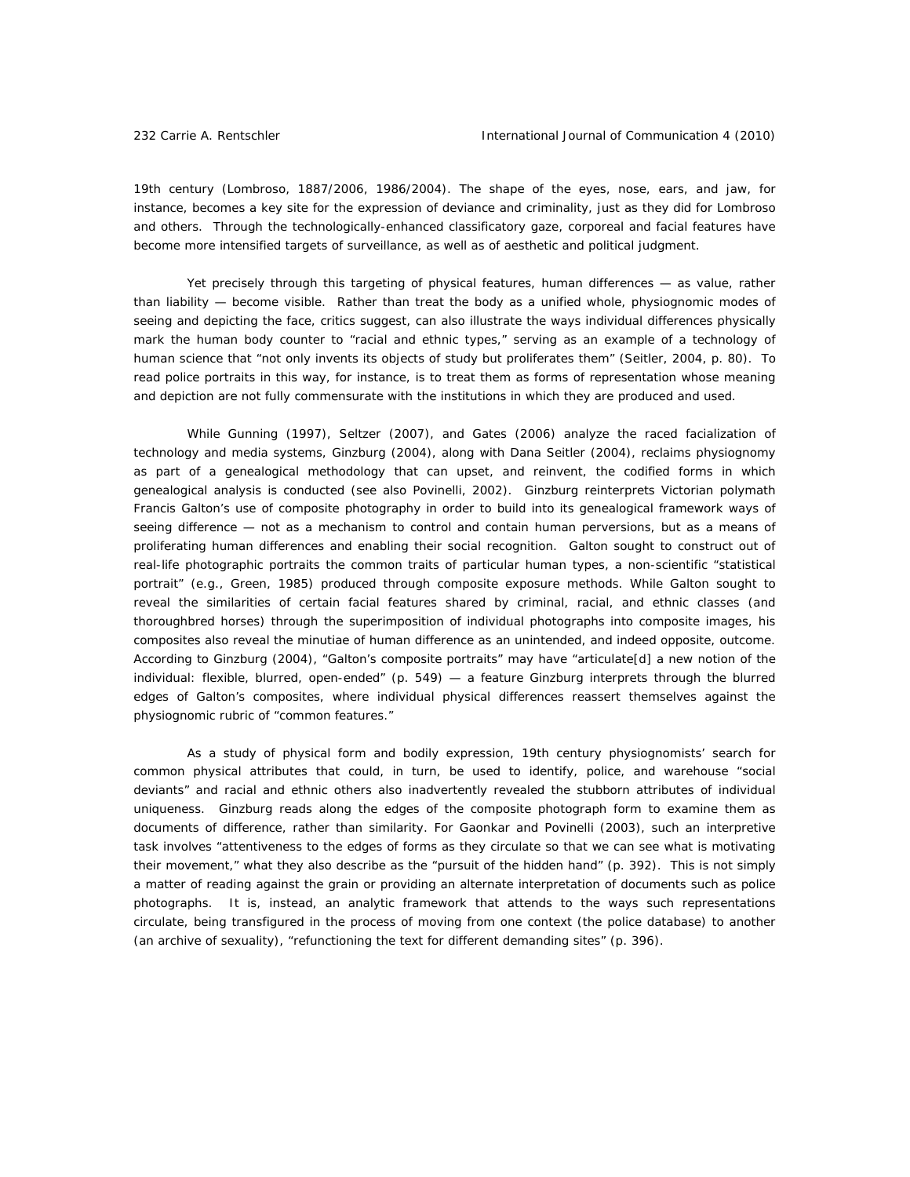19th century (Lombroso, 1887/2006, 1986/2004). The shape of the eyes, nose, ears, and jaw, for instance, becomes a key site for the expression of deviance and criminality, just as they did for Lombroso and others. Through the technologically-enhanced classificatory gaze, corporeal and facial features have become more intensified targets of surveillance, as well as of aesthetic and political judgment.

Yet precisely through this targeting of physical features, human differences — as value, rather than liability — become visible. Rather than treat the body as a unified whole, physiognomic modes of seeing and depicting the face, critics suggest, can also illustrate the ways individual differences physically mark the human body counter to "racial and ethnic types," serving as an example of a technology of human science that "not only invents its objects of study but proliferates them" (Seitler, 2004, p. 80). To read police portraits in this way, for instance, is to treat them as forms of representation whose meaning and depiction are not fully commensurate with the institutions in which they are produced and used.

While Gunning (1997), Seltzer (2007), and Gates (2006) analyze the raced facialization of technology and media systems, Ginzburg (2004), along with Dana Seitler (2004), reclaims physiognomy as part of a genealogical methodology that can upset, and reinvent, the codified forms in which genealogical analysis is conducted (see also Povinelli, 2002). Ginzburg reinterprets Victorian polymath Francis Galton's use of composite photography in order to build into its genealogical framework ways of seeing difference — not as a mechanism to control and contain human perversions, but as a means of proliferating human differences and enabling their social recognition. Galton sought to construct out of real-life photographic portraits the common traits of particular human types, a non-scientific "statistical portrait" (e.g., Green, 1985) produced through composite exposure methods. While Galton sought to reveal the similarities of certain facial features shared by criminal, racial, and ethnic classes (and thoroughbred horses) through the superimposition of individual photographs into composite images, his composites also reveal the minutiae of human difference as an unintended, and indeed opposite, outcome. According to Ginzburg (2004), "Galton's composite portraits" may have "articulate[d] a new notion of the individual: flexible, blurred, open-ended" (p. 549) — a feature Ginzburg interprets through the blurred edges of Galton's composites, where individual physical differences reassert themselves against the physiognomic rubric of "common features."

As a study of physical form and bodily expression, 19th century physiognomists' search for common physical attributes that could, in turn, be used to identify, police, and warehouse "social deviants" and racial and ethnic others also inadvertently revealed the stubborn attributes of individual uniqueness. Ginzburg reads along the edges of the composite photograph form to examine them as documents of difference, rather than similarity. For Gaonkar and Povinelli (2003), such an interpretive task involves "attentiveness to the edges of forms as they circulate so that we can see what is motivating their movement," what they also describe as the "pursuit of the hidden hand" (p. 392). This is not simply a matter of reading against the grain or providing an alternate interpretation of documents such as police photographs. It is, instead, an analytic framework that attends to the ways such representations circulate, being transfigured in the process of moving from one context (the police database) to another (an archive of sexuality), "refunctioning the text for different demanding sites" (p. 396).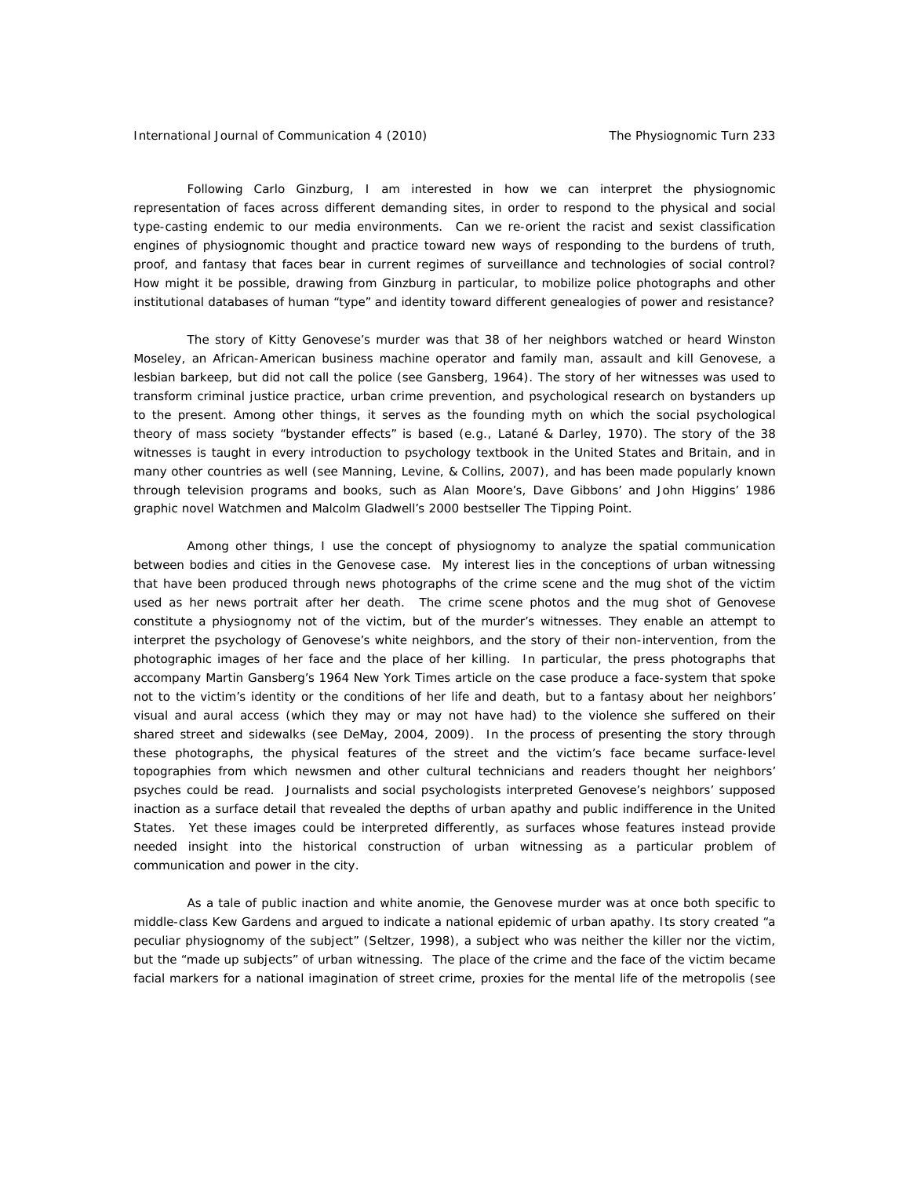Following Carlo Ginzburg, I am interested in how we can interpret the physiognomic representation of faces across different demanding sites, in order to respond to the physical and social type-casting endemic to our media environments. Can we re-orient the racist and sexist classification engines of physiognomic thought and practice toward new ways of responding to the burdens of truth, proof, and fantasy that faces bear in current regimes of surveillance and technologies of social control? How might it be possible, drawing from Ginzburg in particular, to mobilize police photographs and other institutional databases of human "type" and identity toward different genealogies of power and resistance?

 The story of Kitty Genovese's murder was that 38 of her neighbors watched or heard Winston Moseley, an African-American business machine operator and family man, assault and kill Genovese, a lesbian barkeep, but did not call the police (see Gansberg, 1964). The story of her witnesses was used to transform criminal justice practice, urban crime prevention, and psychological research on bystanders up to the present. Among other things, it serves as the founding myth on which the social psychological theory of mass society "bystander effects" is based (e.g., Latané & Darley, 1970). The story of the 38 witnesses is taught in every introduction to psychology textbook in the United States and Britain, and in many other countries as well (see Manning, Levine, & Collins, 2007), and has been made popularly known through television programs and books, such as Alan Moore's, Dave Gibbons' and John Higgins' 1986 graphic novel *Watchmen* and Malcolm Gladwell's 2000 bestseller *The Tipping Point.* 

Among other things, I use the concept of physiognomy to analyze the spatial communication between bodies and cities in the Genovese case. My interest lies in the conceptions of urban witnessing that have been produced through news photographs of the crime scene and the mug shot of the victim used as her news portrait after her death. The crime scene photos and the mug shot of Genovese constitute *a physiognomy not of the victim, but of the murder's witnesses*. They enable an attempt to interpret the psychology of Genovese's white neighbors, and the story of their non-intervention, from the photographic images of her face and the place of her killing. In particular, the press photographs that accompany Martin Gansberg's 1964 *New York Times* article on the case produce a face-system that spoke not to the victim's identity or the conditions of her life and death, but to a fantasy about her neighbors' visual and aural access (which they may or may not have had) to the violence she suffered on their shared street and sidewalks (see DeMay, 2004, 2009). In the process of presenting the story through these photographs, the physical features of the street and the victim's face became surface-level topographies from which newsmen and other cultural technicians and readers thought her neighbors' psyches could be read. Journalists and social psychologists interpreted Genovese's neighbors' supposed inaction as a surface detail that revealed the depths of urban apathy and public indifference in the United States. Yet these images could be interpreted differently, as surfaces whose features instead provide needed insight into the historical construction of urban witnessing as a particular problem of communication and power in the city.

As a tale of public inaction and white anomie, the Genovese murder was at once both specific to middle-class Kew Gardens and argued to indicate a national epidemic of urban apathy. Its story created "a peculiar physiognomy of the subject" (Seltzer, 1998), a subject who was neither the killer nor the victim, but the "made up subjects" of urban witnessing. The place of the crime and the face of the victim became facial markers for a national imagination of street crime, proxies for the mental life of the metropolis (see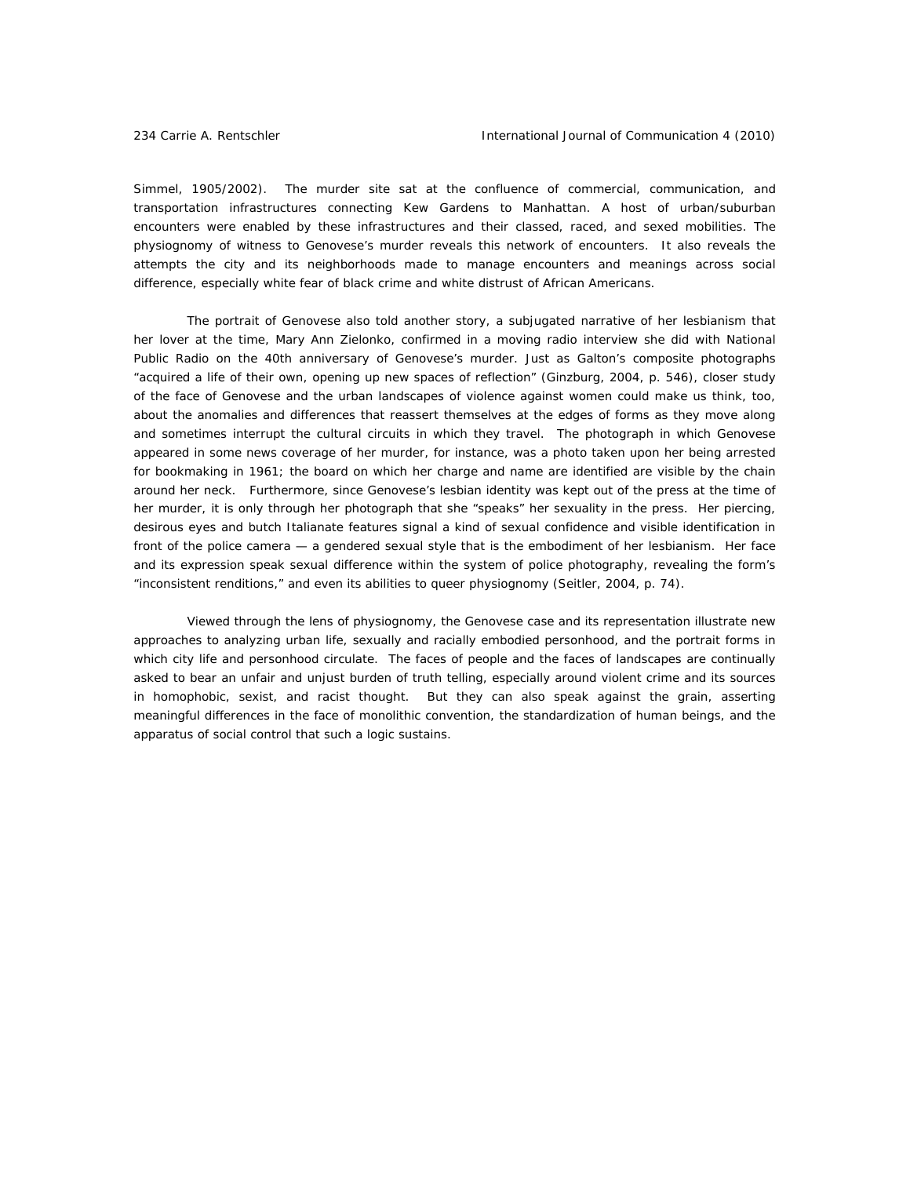Simmel, 1905/2002). The murder site sat at the confluence of commercial, communication, and transportation infrastructures connecting Kew Gardens to Manhattan. A host of urban/suburban encounters were enabled by these infrastructures and their classed, raced, and sexed mobilities. The physiognomy of witness to Genovese's murder reveals this network of encounters. It also reveals the attempts the city and its neighborhoods made to manage encounters and meanings across social difference, especially white fear of black crime and white distrust of African Americans.

 The portrait of Genovese also told another story, a subjugated narrative of her lesbianism that her lover at the time, Mary Ann Zielonko, confirmed in a moving radio interview she did with National Public Radio on the 40th anniversary of Genovese's murder. Just as Galton's composite photographs "acquired a life of their own, opening up new spaces of reflection" (Ginzburg, 2004, p. 546), closer study of the face of Genovese and the urban landscapes of violence against women could make us think, too, about the anomalies and differences that reassert themselves at the edges of forms as they move along and sometimes interrupt the cultural circuits in which they travel. The photograph in which Genovese appeared in some news coverage of her murder, for instance, was a photo taken upon her being arrested for bookmaking in 1961; the board on which her charge and name are identified are visible by the chain around her neck. Furthermore, since Genovese's lesbian identity was kept out of the press at the time of her murder, it is only through her photograph that she "speaks" her sexuality in the press. Her piercing, desirous eyes and butch Italianate features signal a kind of sexual confidence and visible identification in front of the police camera — a gendered sexual style that is the embodiment of her lesbianism. Her face and its expression speak sexual difference within the system of police photography, revealing the form's "inconsistent renditions," and even its abilities to *queer* physiognomy (Seitler, 2004, p. 74).

Viewed through the lens of physiognomy, the Genovese case and its representation illustrate new approaches to analyzing urban life, sexually and racially embodied personhood, and the portrait forms in which city life and personhood circulate. The faces of people and the faces of landscapes are continually asked to bear an unfair and unjust burden of truth telling, especially around violent crime and its sources in homophobic, sexist, and racist thought. But they can also speak against the grain, asserting meaningful differences in the face of monolithic convention, the standardization of human beings, and the apparatus of social control that such a logic sustains.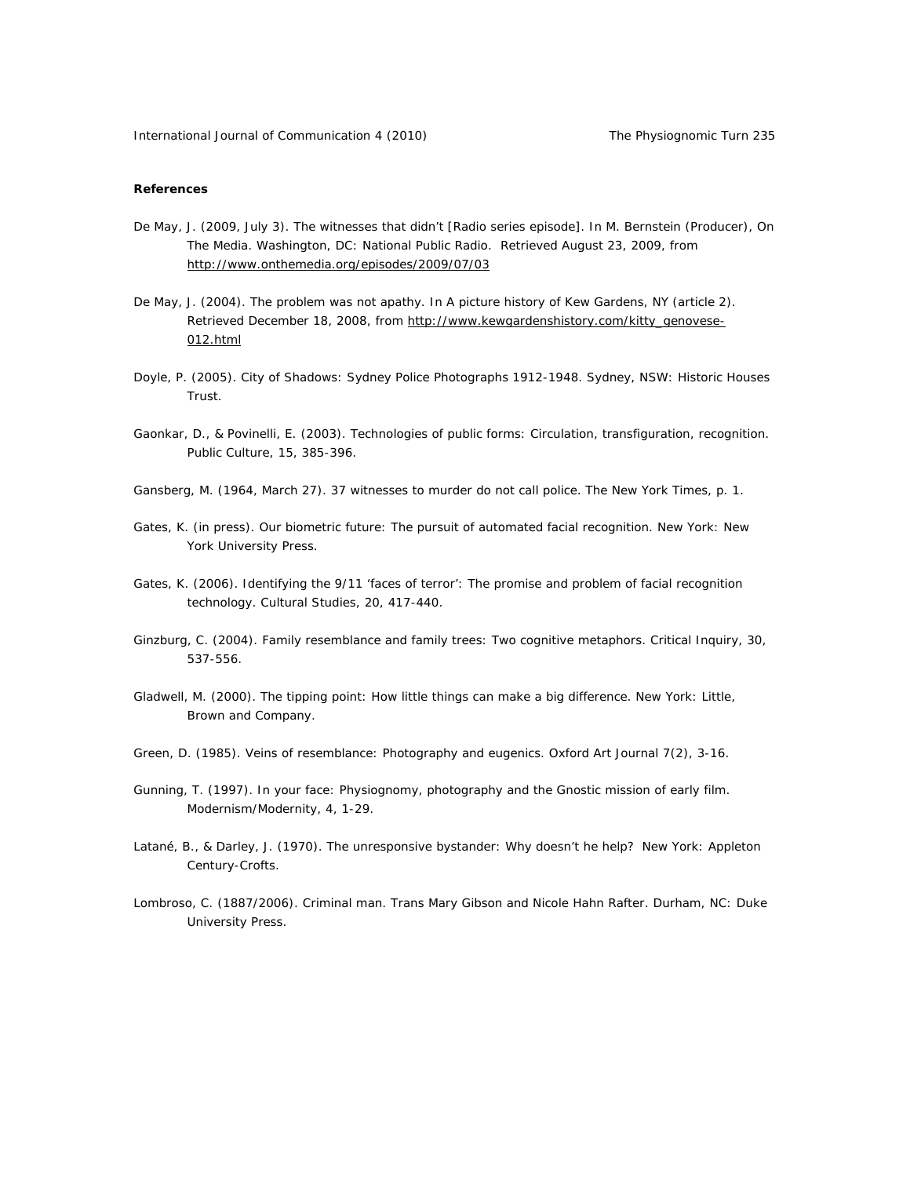## *References*

- De May, J. (2009, July 3). The witnesses that didn't [Radio series episode]. In M. Bernstein (Producer), *On The Media.* Washington, DC: National Public Radio. Retrieved August 23, 2009, from http://www.onthemedia.org/episodes/2009/07/03
- De May, J. (2004). The problem was not apathy. In *A picture history of Kew Gardens, NY* (article 2). Retrieved December 18, 2008, from http://www.kewgardenshistory.com/kitty\_genovese-012.html
- Doyle, P. (2005). *City of Shadows: Sydney Police Photographs 1912-1948.* Sydney, NSW: Historic Houses Trust.
- Gaonkar, D., & Povinelli, E. (2003). Technologies of public forms: Circulation, transfiguration, recognition. *Public Culture, 15,* 385-396.
- Gansberg, M. (1964, March 27). 37 witnesses to murder do not call police. *The New York Times,* p. 1.
- Gates, K. (in press). Our biometric future: The pursuit of automated facial recognition. New York: New York University Press.
- Gates, K. (2006). Identifying the 9/11 'faces of terror': The promise and problem of facial recognition technology. *Cultural Studies, 20,* 417-440.
- Ginzburg, C. (2004). Family resemblance and family trees: Two cognitive metaphors. *Critical Inquiry, 30,*  537-556.
- Gladwell, M. (2000). *The tipping point: How little things can make a big difference*. New York: Little, Brown and Company.
- Green, D. (1985). Veins of resemblance: Photography and eugenics. *Oxford Art Journal* 7(2), 3-16.
- Gunning, T. (1997). In your face: Physiognomy, photography and the Gnostic mission of early film. *Modernism/Modernity, 4,* 1-29.
- Latané, B., & Darley, J. (1970). *The unresponsive bystander: Why doesn't he help?* New York: Appleton Century-Crofts.
- Lombroso, C. (1887/2006). *Criminal man*. Trans Mary Gibson and Nicole Hahn Rafter. Durham, NC: Duke University Press.